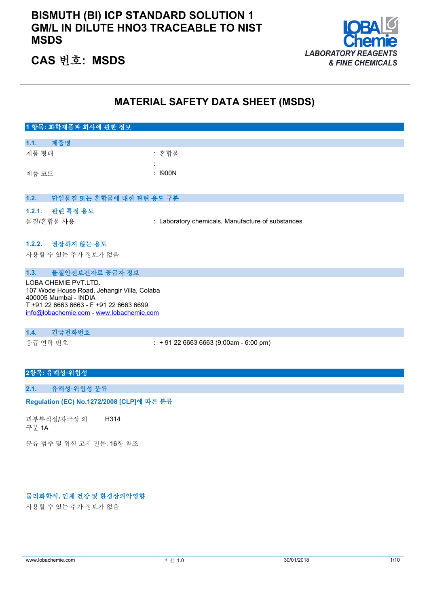### **BISMUTH (BI) ICP STANDARD SOLUTION 1 GM/L IN DILUTE HNO3 TRACEABLE TO NIST MSDS**



### **CAS 번호: MSDS**

### **MATERIAL SAFETY DATA SHEET (MSDS)**

| 1 항목: 화학제품과 회사에 관한 정보                  |                                                   |
|----------------------------------------|---------------------------------------------------|
|                                        |                                                   |
| 1.1.<br>제품명                            |                                                   |
| 제품 형태                                  | : 혼합물                                             |
|                                        |                                                   |
| 제품 코드                                  | $:$ 1900N                                         |
|                                        |                                                   |
|                                        |                                                   |
| 1.2.<br>단일물질 또는 혼합물에 대한 관련 용도 구분       |                                                   |
| 1.2.1. 관련 특정 용도                        |                                                   |
| 물질/혼합물 사용                              | : Laboratory chemicals, Manufacture of substances |
|                                        |                                                   |
|                                        |                                                   |
| 1.2.2. 권장하지 않는 용도                      |                                                   |
| 사용할 수 있는 추가 정보가 없음                     |                                                   |
|                                        |                                                   |
| 물질안전보건자료 공급자 정보<br>1.3.                |                                                   |
| $1.001.01$ if $1.00T$ if $\pi$ i $\pi$ |                                                   |

LOBA CHEMIE PVT.LTD. 107 Wode House Road, Jehangir Villa, Colaba 400005 Mumbai - INDIA T +91 22 6663 6663 - F +91 22 6663 6699 [info@lobachemie.com](mailto:info@lobachemie.com) - <www.lobachemie.com>

### **1.4. 긴급전화번호**

응급 연락 번호 : + 91 22 6663 6663 (9:00am - 6:00 pm)

### **2항목: 유해성·위험성**

#### **2.1. 유해성·위험성 분류**

#### Regulation (EC) No.1272/2008 [CLP]에 따른 분류

피부부식성/자극성 의 구분 1A H314

분류 범주 및 위험 고지 전문: 16항 참조

### **물리화학적, 인체 건강 및 환경상의악영향**

사용할 수 있는 추가 정보가 없음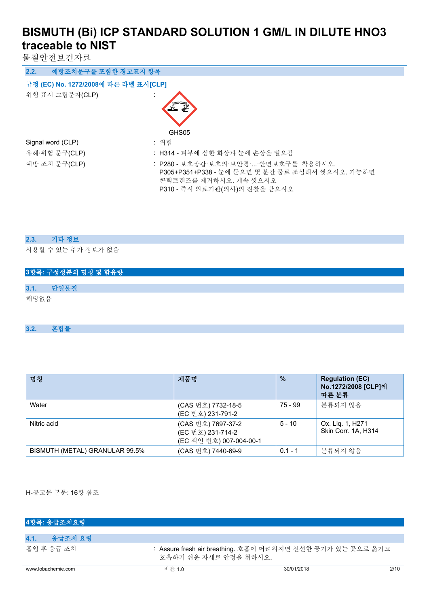물질안전보건자료

| 예방조치문구를 포함한 경고표지 항목<br>2.2.          |                                                                                                                  |
|--------------------------------------|------------------------------------------------------------------------------------------------------------------|
| 규정 (EC) No. 1272/2008에 따른 라벨 표시[CLP] |                                                                                                                  |
| 위험 표시 그림문자(CLP)                      | GHS05                                                                                                            |
| Signal word (CLP)                    | : 위험                                                                                                             |
| 유해·위험 문구(CLP)                        | : H314 - 피부에 심한 화상과 눈에 손상을 일으킴                                                                                   |
| 예방 조치 문구(CLP)                        | : P280 - 보호장갑·보호의·보안경··안면보호구를 착용하시오.<br>P305+P351+P338 - 눈에 묻으면 몇 분간 물로 조심해서 씻으시오. 가능하면<br>콘택트렌즈를 제거하시오. 계속 씻으시오 |

P310 - 즉시 의료기관(의사)의 진찰을 받으시오

### **2.3. 기타 정보**

사용할 수 있는 추가 정보가 없음

|      | 3항목: 구성성분의 명칭 및 함유량 |  |
|------|---------------------|--|
|      |                     |  |
| 3.1. | 단일물질                |  |
| 해당없음 |                     |  |

**3.2. 혼합물**

| 명칭                             | 제품명                                                                | $\frac{0}{2}$ | <b>Regulation (EC)</b><br>No.1272/2008 [CLP]에<br>따른 분류 |
|--------------------------------|--------------------------------------------------------------------|---------------|--------------------------------------------------------|
| Water                          | (CAS 번호) 7732-18-5<br>(EC 번호) 231-791-2                            | 75 - 99       | 분류되지 않음                                                |
| Nitric acid                    | (CAS 번호) 7697-37-2<br>(EC 번호) 231-714-2<br>(EC 색인 번호) 007-004-00-1 | $5 - 10$      | Ox. Lig. 1, H271<br>Skin Corr. 1A. H314                |
| BISMUTH (METAL) GRANULAR 99.5% | (CAS 번호) 7440-69-9                                                 | $0.1 - 1$     | 분류되지 않음                                                |

H-공고문 본문: 16항 참조

| 4항목: 응급조치요령        |                       |                                                            |      |
|--------------------|-----------------------|------------------------------------------------------------|------|
|                    |                       |                                                            |      |
| 4.1.<br>- 응급조치 요령  |                       |                                                            |      |
| 흠입 후 응급 조치         | 호흡하기 쉬운 자세로 안정을 취하시오. | : Assure fresh air breathing. 호흡이 어려워지면 신선한 공기가 있는 곳으로 옮기고 |      |
| www.lobachemie.com | 버전: 1.0               | 30/01/2018                                                 | 2/10 |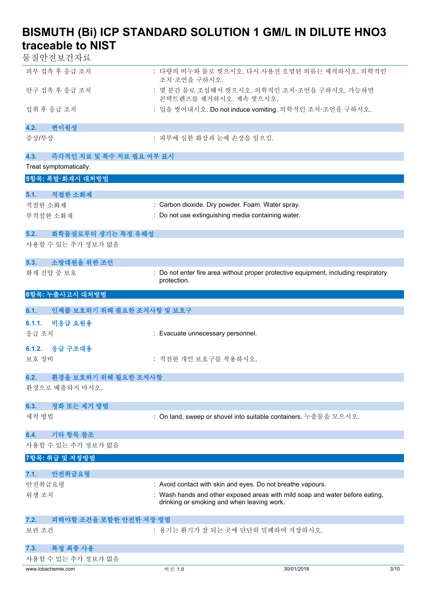물질안전보건자료

| 피부 접촉 후 응급 조치                              | : 다량의 비누와 물로 씻으시오. 다시 사용전 오염된 의류는 세척하시오. 의학적인<br>조치·조언을 구하시오.                                                              |                    |
|--------------------------------------------|----------------------------------------------------------------------------------------------------------------------------|--------------------|
| 안구 접촉 후 응급 조치                              | : 몇 분간 물로 조심해서 씻으시오. 의학적인 조치·조언을 구하시오. 가능하면<br>콘택트렌즈를 제거하시오. 계속 씻으시오.                                                      |                    |
| 섭취 후 응급 조치                                 | : 입을 씻어내시오. Do not induce vomiting. 의학적인 조치·조언을 구하시오.                                                                      |                    |
| 변이원성<br>4.2.                               |                                                                                                                            |                    |
| 증상/부상                                      | : 피부에 심한 화상과 눈에 손상을 일으킴.                                                                                                   |                    |
| 4.3.<br>즉각적인 치료 및 특수 치료 필요 여부 표시           |                                                                                                                            |                    |
| Treat symptomatically.<br>5항목: 폭발·화재시 대처방법 |                                                                                                                            |                    |
|                                            |                                                                                                                            |                    |
| 적절한 소화제<br>5.1.<br>적절한 소화제                 | : Carbon dioxide. Dry powder. Foam. Water spray.                                                                           |                    |
| 부적절한 소화재                                   | : Do not use extinguishing media containing water.                                                                         |                    |
|                                            |                                                                                                                            |                    |
| 5.2.<br>화학물질로부터 생기는 특정 유해성                 |                                                                                                                            |                    |
| 사용할 수 있는 추가 정보가 없음                         |                                                                                                                            |                    |
| 소방대원을 위한 조언<br>5.3.                        |                                                                                                                            |                    |
| 화재 진압 중 보호                                 | : Do not enter fire area without proper protective equipment, including respiratory                                        |                    |
|                                            | protection.                                                                                                                |                    |
| 6항목: 누출사고시 대처방법                            |                                                                                                                            |                    |
| 6.1.<br>인체를 보호하기 위해 필요한 조치사항 및 보호구         |                                                                                                                            |                    |
| 비응급 요원용<br>6.1.1.                          |                                                                                                                            |                    |
| 응급 조치                                      | : Evacuate unnecessary personnel.                                                                                          |                    |
| 응급 구조대용<br>6.1.2.                          |                                                                                                                            |                    |
| 보호 장비                                      | : 적절한 개인 보호구를 착용하시오.                                                                                                       |                    |
| 6.2.<br>환경을 보호하기 위해 필요한 조치사항               |                                                                                                                            |                    |
| 환경으로 배출하지 마시오.                             |                                                                                                                            |                    |
|                                            |                                                                                                                            |                    |
| 정화 또는 제거 방법<br>6.3.<br>세척 방법               | : On land, sweep or shovel into suitable containers. 누출물을 모으시오.                                                            |                    |
|                                            |                                                                                                                            |                    |
| 기타 항목 참조<br>6.4.                           |                                                                                                                            |                    |
| 사용할 수 있는 추가 정보가 없음                         |                                                                                                                            |                    |
| 7항목: 취급 및 저장방법                             |                                                                                                                            |                    |
| 안전취급요령<br>7.1.                             |                                                                                                                            |                    |
| 안전취급요령                                     | : Avoid contact with skin and eyes. Do not breathe vapours.                                                                |                    |
| 위생 조치                                      | : Wash hands and other exposed areas with mild soap and water before eating,<br>drinking or smoking and when leaving work. |                    |
| 피해야할 조건을 포함한 안전한 저장 방법<br>7.2.             |                                                                                                                            |                    |
| 보관 조건                                      | : 용기는 환기가 잘 되는 곳에 단단히 밀폐하여 저장하시오.                                                                                          |                    |
| 특정 최종 사용<br>7.3.                           |                                                                                                                            |                    |
| 사용할 수 있는 추가 정보가 없음                         |                                                                                                                            |                    |
| www.lobachemie.com                         | 버전: 1.0                                                                                                                    | 30/01/2018<br>3/10 |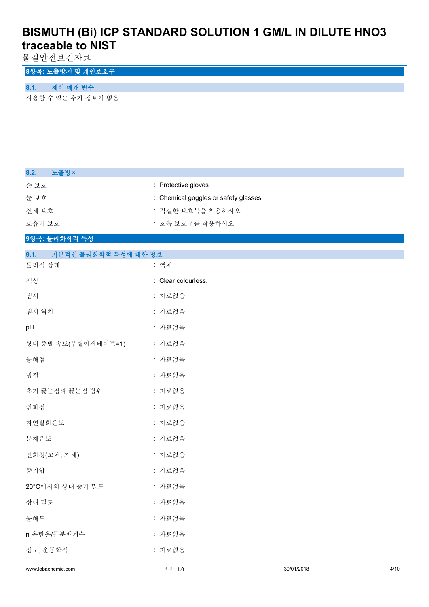물질안전보건자료

### **8항목: 노출방지 및 개인보호구**

### **8.1. 제어 매개 변수**

사용할 수 있는 추가 정보가 없음

| 노출방지<br>8.2.                 |                                      |
|------------------------------|--------------------------------------|
| 손보호                          | : Protective gloves                  |
| 눈보호                          | : Chemical goggles or safety glasses |
| 신체 보호                        | : 적절한 보호복을 착용하시오                     |
| 호흡기 보호                       | : 호흡 보호구를 착용하시오                      |
| 9항목: 물리화학적 특성                |                                      |
| 9.1.<br>기본적인 물리화학적 특성에 대한 정보 |                                      |
| 물리적 상태                       | : 액체                                 |
| 색상                           | : Clear colourless.                  |
| 냄새                           | : 자료없음                               |
| 냄새 역치                        | : 자료없음                               |
| pH                           | : 자료없음                               |
| 상대 증발 속도(부틸아세테이트=1)          | : 자료없음                               |
| 융해점                          | : 자료없음                               |
| 빙점                           | : 자료없음                               |
| 초기 끓는점과 끓는점 범위               | : 자료없음                               |
| 인화점                          | : 자료없음                               |
| 자연발화온도                       | : 자료없음                               |
| 분해온도                         | : 자료없음                               |
| 인화성(고체, 기체)                  | : 자료없음                               |
| 증기압                          | : 자료없음                               |
| 20°C에서의 상대 증기 밀도             | : 자료없음                               |
| 상대 밀도                        | : 자료없음                               |
| 용해도                          | : 자료없음                               |
| n-옥탄올/물분배계수                  | : 자료없음                               |
| 점도, 운동학적                     | : 자료없음                               |
| www.lobachemie.com           | 30/01/2018<br>4/10<br>버전: 1.0        |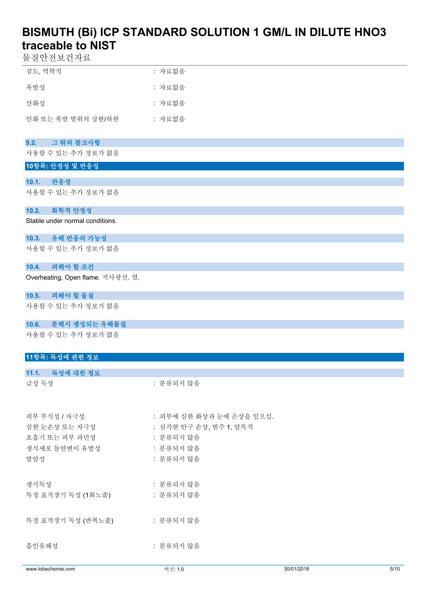물질안전보건자료

| 점도, 역학적            | : 자료없음 |
|--------------------|--------|
| 폭발성                | : 자료없음 |
| 사화성                | : 자료없음 |
| 인화 또는 폭발 범위의 상한/하한 | : 자료없음 |

### **9.2. 그 밖의 참고사항**

사용할 수 있는 추가 정보가 없음

### **10항목: 안정성 및 반응성**

### **10.1. 반응성**

사용할 수 있는 추가 정보가 없음

### **10.2. 화학적 안정성**

Stable under normal conditions.

### **10.3. 유해 반응의 가능성**

사용할 수 있는 추가 정보가 없음

### **10.4. 피해야 할 조건**

Overheating. Open flame. 직사광선. 열.

### **10.5. 피해야 할 물질**

사용할 수 있는 추가 정보가 없음

#### **10.6. 분해시 생성되는 유해물질**

사용할 수 있는 추가 정보가 없음

### **11항목: 독성에 관한 정보**

| www.lobachemie.com | 버전: 1.0                  | 30/01/2018 | 5/10 |
|--------------------|--------------------------|------------|------|
|                    |                          |            |      |
| 흡인유해성              | : 분류되지 않음                |            |      |
| 특정 표적장기 독성 (반복노출)  | : 분류되지 않음                |            |      |
| 특정 표적장기 독성 (1회노출)  | : 분류되지 않음                |            |      |
| 생식독성               | : 분류되지 않음                |            |      |
| 발암성                | : 분류되지 않음                |            |      |
| 생식세포 돌연변이 유발성      | : 분류되지 않음                |            |      |
| 호흡기 또는 피부 과민성      | : 분류되지 않음                |            |      |
| 심한 눈손상 또는 자극성      | : 심각한 안구 손상, 범주 1, 암묵적   |            |      |
| 피부 부식성 / 자극성       | : 피부에 심한 화상과 눈에 손상을 일으킴. |            |      |
| 급성 독성              | : 분류되지 않음                |            |      |
| 11.1. 독성에 대한 정보    |                          |            |      |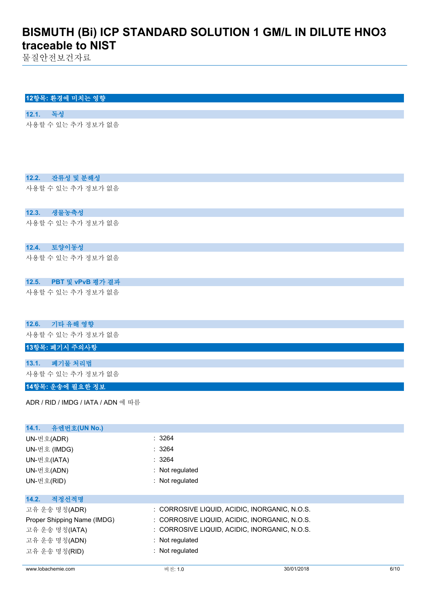물질안전보건자료

### **12항목: 환경에 미치는 영향**

**12.1. 독성** 사용할 수 있는 추가 정보가 없음

### **12.2. 잔류성 및 분해성**

사용할 수 있는 추가 정보가 없음

### **12.3. 생물농축성**

사용할 수 있는 추가 정보가 없음

### **12.4. 토양이동성**

사용할 수 있는 추가 정보가 없음

### **12.5. PBT 및 vPvB 평가 결과**

사용할 수 있는 추가 정보가 없음

### **12.6. 기타 유해 영향**

사용할 수 있는 추가 정보가 없음

### **13항목: 폐기시 주의사항**

**13.1. 폐기물 처리법**

사용할 수 있는 추가 정보가 없음

#### **14항목: 운송에 필요한 정보**

ADR / RID / IMDG / IATA / ADN 에 따름

| 유엔번호(UN No.)<br>14.1.       |                                               |
|-----------------------------|-----------------------------------------------|
| UN-번호(ADR)                  | : 3264                                        |
| UN-번호 (IMDG)                | : 3264                                        |
| UN-번호(IATA)                 | : 3264                                        |
| UN-번호(ADN)                  | : Not regulated                               |
| UN-번호(RID)                  | : Not regulated                               |
|                             |                                               |
| 적정선적명<br>14.2.              |                                               |
| 고유 운송 명칭(ADR)               | : CORROSIVE LIQUID, ACIDIC, INORGANIC, N.O.S. |
| Proper Shipping Name (IMDG) | : CORROSIVE LIQUID, ACIDIC, INORGANIC, N.O.S. |
| 고유 운송 명칭(IATA)              | : CORROSIVE LIQUID, ACIDIC, INORGANIC, N.O.S. |
| 고유 운송 명칭(ADN)               | : Not regulated                               |
| 고유 운송 명칭(RID)               | : Not regulated                               |
|                             |                                               |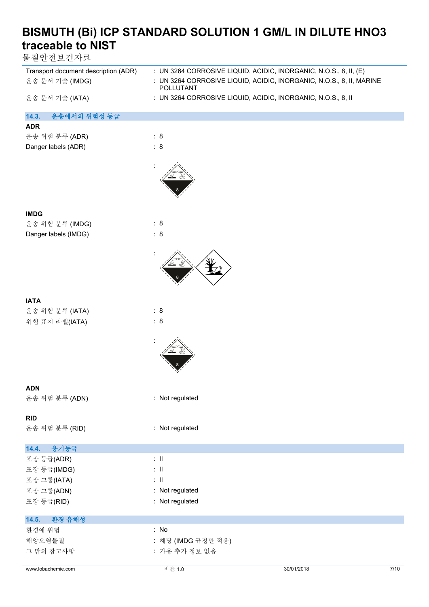물질안전보건자료

| Transport document description (ADR)<br>운송 문서 기술 (IMDG) | : UN 3264 CORROSIVE LIQUID, ACIDIC, INORGANIC, N.O.S., 8, II, (E)<br>: UN 3264 CORROSIVE LIQUID, ACIDIC, INORGANIC, N.O.S., 8, II, MARINE<br>POLLUTANT |
|---------------------------------------------------------|--------------------------------------------------------------------------------------------------------------------------------------------------------|
| 운송 문서 기술 (IATA)                                         | : UN 3264 CORROSIVE LIQUID, ACIDIC, INORGANIC, N.O.S., 8, II                                                                                           |
| 14.3.<br>운송에서의 위험성 등급                                   |                                                                                                                                                        |
| <b>ADR</b>                                              |                                                                                                                                                        |
| 운송 위험 분류 (ADR)                                          | : 8                                                                                                                                                    |
| Danger labels (ADR)                                     | : 8                                                                                                                                                    |
|                                                         |                                                                                                                                                        |
| <b>IMDG</b>                                             |                                                                                                                                                        |
| 운송 위험 분류 (IMDG)                                         | : 8                                                                                                                                                    |
| Danger labels (IMDG)                                    | : 8                                                                                                                                                    |
|                                                         |                                                                                                                                                        |
| <b>IATA</b>                                             |                                                                                                                                                        |
| 운송 위험 분류 (IATA)                                         | : 8                                                                                                                                                    |
| 위험 표지 라벨(IATA)                                          | : 8                                                                                                                                                    |
|                                                         |                                                                                                                                                        |
|                                                         |                                                                                                                                                        |
| <b>ADN</b>                                              |                                                                                                                                                        |
| 운송 위험 분류 (ADN)                                          | : Not regulated                                                                                                                                        |
|                                                         |                                                                                                                                                        |
| <b>RID</b>                                              |                                                                                                                                                        |
| 운송 위험 분류 (RID)                                          | : Not regulated                                                                                                                                        |
| 용기등급<br>14.4.                                           |                                                                                                                                                        |
| 포장 등급(ADR)                                              | $\therefore$ II                                                                                                                                        |
| 포장 등급(IMDG)                                             | $:$ $\mathbb{H}$                                                                                                                                       |
| 포장 그룹(IATA)                                             | $:$ $\mathbb{H}$                                                                                                                                       |
| 포장 그룹(ADN)                                              | : Not regulated                                                                                                                                        |
| 포장 등급(RID)                                              | : Not regulated                                                                                                                                        |
|                                                         |                                                                                                                                                        |
| 14.5.<br>환경 유해성                                         |                                                                                                                                                        |
| 환경에 위험                                                  | $:$ No                                                                                                                                                 |
| 해양오염물질                                                  | : 해당 (IMDG 규정만 적용)                                                                                                                                     |
| 그 밖의 참고사항                                               | : 가용 추가 정보 없음                                                                                                                                          |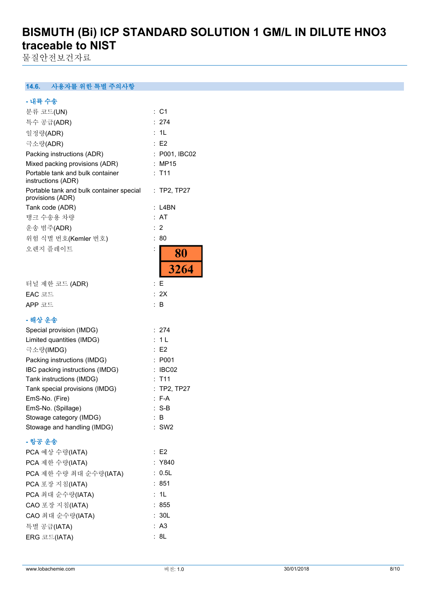물질안전보건자료

**14.6. 사용자를 위한 특별 주의사항**

| - 내륙 수송                                                      |                       |
|--------------------------------------------------------------|-----------------------|
| 분류 코드(UN)                                                    | : C1                  |
| 특수 공급(ADR)                                                   | 274                   |
| 일정량(ADR)                                                     | 1L<br>t.              |
| 극소량(ADR)                                                     | : E2                  |
| Packing instructions (ADR)                                   | : P001, IBC02         |
| Mixed packing provisions (ADR)                               | : MP15                |
| Portable tank and bulk container<br>instructions (ADR)       | T11                   |
| Portable tank and bulk container special<br>provisions (ADR) | $:$ TP2, TP27         |
| Tank code (ADR)                                              | L4BN                  |
| 탱크 수송용 차량                                                    | : AT                  |
| 운송 범주(ADR)                                                   | $\overline{2}$<br>÷   |
| 위험 식별 번호(Kemler 번호)                                          | 80<br>÷.              |
| 오렌지 플레이트                                                     | $\vdots$<br><b>80</b> |
|                                                              | 3264                  |
| 터널 제한 코드 (ADR)                                               | E<br>÷                |
| EAC 코드                                                       | : 2X                  |
| APP 코드                                                       | : B                   |
| - 해상 운송                                                      |                       |
| Special provision (IMDG)                                     | 274<br>÷.             |
| Limited quantities (IMDG)                                    | 1 <sub>L</sub><br>t.  |
| 극소량(IMDG)                                                    | : E2                  |
| Packing instructions (IMDG)                                  | : P001                |
| IBC packing instructions (IMDG)                              | IBC02                 |
| Tank instructions (IMDG)                                     | $:$ T11               |
| Tank special provisions (IMDG)                               | : TP2, TP27           |
| EmS-No. (Fire)                                               | $: F-A$               |
| EmS-No. (Spillage)                                           | $S-B$<br>t.           |
| Stowage category (IMDG)                                      | : B                   |
| Stowage and handling (IMDG)                                  | $:$ SW2               |
| - 항공 운송                                                      |                       |
| PCA 예상 수량(IATA)                                              | E2                    |
| PCA 제한 수량(IATA)                                              | : Y840                |
| PCA 제한 수량 최대 순수량(IATA)                                       | 0.5L<br>۰.            |
| PCA 포장 지침(IATA)                                              | : 851                 |
| PCA 최대 순수량(IATA)                                             | : 1L                  |
| CAO 포장 지침(IATA)                                              | : 855                 |
| CAO 최대 순수량(IATA)                                             | : 30L                 |
| 특별 공급(IATA)                                                  | : A3                  |
| ERG 코드(IATA)                                                 | 8L                    |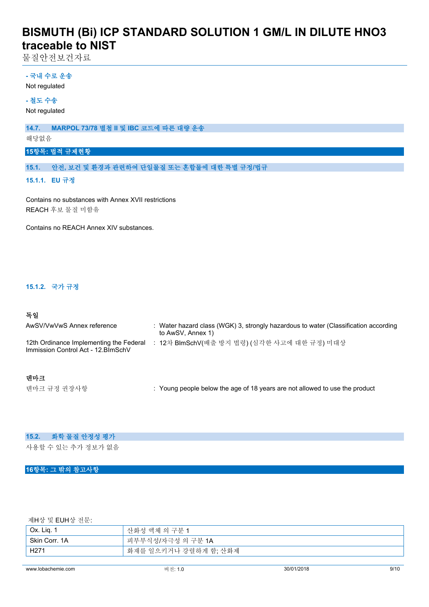물질안전보건자료

### **- 국내 수로 운송**

Not regulated

### **- 철도 수송**

Not regulated

**14.7. MARPOL 73/78 별첨 II 및 IBC 코드에 따른 대량 운송**

해당없음

### **15항목: 법적 규제현황**

**15.1. 안전, 보건 및 환경과 관련하여 단일물질 또는 혼합물에 대한 특별 규정/법규**

### **15.1.1. EU 규정**

Contains no substances with Annex XVII restrictions REACH 후보 물질 미함유

Contains no REACH Annex XIV substances.

### **15.1.2. 국가 규정**

### **독일**

| AwSV/VwVwS Annex reference                                                     | : Water hazard class (WGK) 3, strongly hazardous to water (Classification according<br>to AwSV, Annex 1) |
|--------------------------------------------------------------------------------|----------------------------------------------------------------------------------------------------------|
| 12th Ordinance Implementing the Federal<br>Immission Control Act - 12. BlmSchV | 12차 BlmSchV(배출 방지 법령) (심각한 사고에 대한 규정) 미대상                                                                |
| 데마크                                                                            |                                                                                                          |
| 덴마크 규정 권장사항                                                                    | : Young people below the age of 18 years are not allowed to use the product                              |

#### **15.2. 화학 물질 안정성 평가**

사용할 수 있는 추가 정보가 없음

### **16항목: 그 밖의 참고사항**

제H상 및 EUH상 전문:

| $^{\circ}$ Ox. Lig. $_{\circ}$ | 산화성 액체 의 구분 1         |
|--------------------------------|-----------------------|
| Skin Corr, 1A                  | 피부부식성/자극성 의 구분 1A     |
| H <sub>271</sub>               | 화재를 일으키거나 강렬하게 함; 산화제 |
|                                |                       |